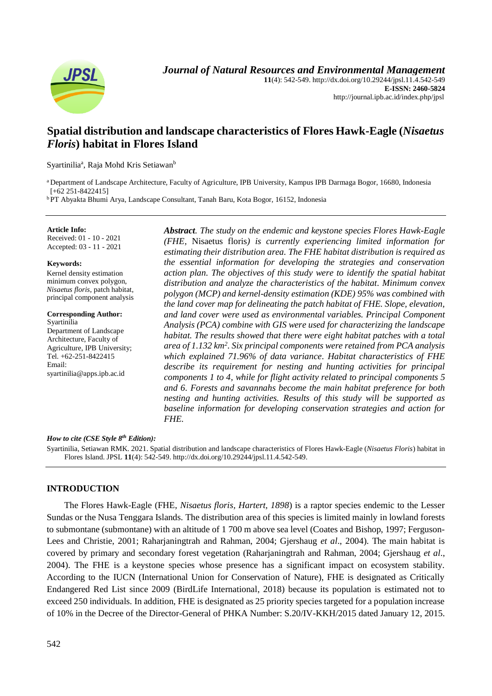

**11**(4): 542-549. http://dx.doi.org/10.29244/jpsl.11.4.542-549 **E-ISSN: 2460-5824** http://journal.ipb.ac.id/index.php/jpsl

# **Spatial distribution and landscape characteristics of Flores Hawk-Eagle (***Nisaetus Floris***) habitat in Flores Island**

Syartinilia<sup>a</sup>, Raja Mohd Kris Setiawan<sup>b</sup>

<sup>a</sup> Department of Landscape Architecture, Faculty of Agriculture, IPB University, Kampus IPB Darmaga Bogor, 16680, Indonesia [+62 251-8422415]

<sup>b</sup>PT Abyakta Bhumi Arya, Landscape Consultant, Tanah Baru, Kota Bogor, 16152, Indonesia

**Article Info:** Received: 01 - 10 - 2021 Accepted: 03 - 11 - 2021

#### **Keywords:**

Kernel density estimation minimum convex polygon, *Nisaetus floris*, patch habitat, principal component analysis

**Corresponding Author:** Syartinilia Department of Landscape Architecture, Faculty of Agriculture, IPB University;

Tel. +62-251-8422415 Email: syartinilia@apps.ipb.ac.id *Abstract. The study on the endemic and keystone species Flores Hawk-Eagle (FHE,* Nisaetus floris*) is currently experiencing limited information for estimating their distribution area. The FHE habitat distribution is required as the essential information for developing the strategies and conservation action plan. The objectives of this study were to identify the spatial habitat distribution and analyze the characteristics of the habitat. Minimum convex polygon (MCP) and kernel-density estimation (KDE) 95% was combined with the land cover map for delineating the patch habitat of FHE. Slope, elevation, and land cover were used as environmental variables. Principal Component Analysis (PCA) combine with GIS were used for characterizing the landscape habitat. The results showed that there were eight habitat patches with a total area of 1.132 km<sup>2</sup> . Six principal components were retained from PCA analysis which explained 71.96% of data variance. Habitat characteristics of FHE describe its requirement for nesting and hunting activities for principal components 1 to 4, while for flight activity related to principal components 5 and 6. Forests and savannahs become the main habitat preference for both nesting and hunting activities. Results of this study will be supported as baseline information for developing conservation strategies and action for FHE.*

#### *How to cite (CSE Style 8th Edition):*

Syartinilia, Setiawan RMK. 2021. Spatial distribution and landscape characteristics of Flores Hawk-Eagle (*Nisaetus Floris*) habitat in Flores Island. JPSL **11**(4): 542-549. http://dx.doi.org/10.29244/jpsl.11.4.542-549.

# **INTRODUCTION**

The Flores Hawk-Eagle (FHE, *Nisaetus floris, Hartert, 1898*) is a raptor species endemic to the Lesser Sundas or the Nusa Tenggara Islands. The distribution area of this species is limited mainly in lowland forests to submontane (submontane) with an altitude of 1 700 m above sea level (Coates and Bishop, 1997; Ferguson-Lees and Christie, 2001; Raharjaningtrah and Rahman, 2004; Gjershaug *et al*., 2004). The main habitat is covered by primary and secondary forest vegetation (Raharjaningtrah and Rahman, 2004; Gjershaug *et al*., 2004). The FHE is a keystone species whose presence has a significant impact on ecosystem stability. According to the IUCN (International Union for Conservation of Nature), FHE is designated as Critically Endangered Red List since 2009 (BirdLife International, 2018) because its population is estimated not to exceed 250 individuals. In addition, FHE is designated as 25 priority species targeted for a population increase of 10% in the Decree of the Director-General of PHKA Number: S.20/IV-KKH/2015 dated January 12, 2015.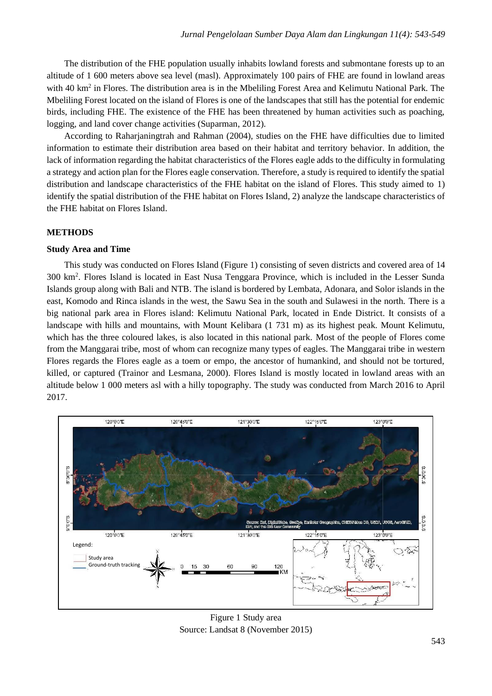The distribution of the FHE population usually inhabits lowland forests and submontane forests up to an altitude of 1 600 meters above sea level (masl). Approximately 100 pairs of FHE are found in lowland areas with 40 km<sup>2</sup> in Flores. The distribution area is in the Mbeliling Forest Area and Kelimutu National Park. The Mbeliling Forest located on the island of Flores is one of the landscapes that still has the potential for endemic birds, including FHE. The existence of the FHE has been threatened by human activities such as poaching, logging, and land cover change activities (Suparman, 2012).

According to Raharjaningtrah and Rahman (2004), studies on the FHE have difficulties due to limited information to estimate their distribution area based on their habitat and territory behavior. In addition, the lack of information regarding the habitat characteristics of the Flores eagle adds to the difficulty in formulating a strategy and action plan for the Flores eagle conservation. Therefore, a study is required to identify the spatial distribution and landscape characteristics of the FHE habitat on the island of Flores. This study aimed to 1) identify the spatial distribution of the FHE habitat on Flores Island, 2) analyze the landscape characteristics of the FHE habitat on Flores Island.

## **METHODS**

# **Study Area and Time**

This study was conducted on Flores Island (Figure 1) consisting of seven districts and covered area of 14 300 km<sup>2</sup> . Flores Island is located in East Nusa Tenggara Province, which is included in the Lesser Sunda Islands group along with Bali and NTB. The island is bordered by Lembata, Adonara, and Solor islands in the east, Komodo and Rinca islands in the west, the Sawu Sea in the south and Sulawesi in the north. There is a big national park area in Flores island: Kelimutu National Park, located in Ende District. It consists of a landscape with hills and mountains, with Mount Kelibara (1 731 m) as its highest peak. Mount Kelimutu, which has the three coloured lakes, is also located in this national park. Most of the people of Flores come from the Manggarai tribe, most of whom can recognize many types of eagles. The Manggarai tribe in western Flores regards the Flores eagle as a toem or empo, the ancestor of humankind, and should not be tortured, killed, or captured (Trainor and Lesmana, 2000). Flores Island is mostly located in lowland areas with an altitude below 1 000 meters asl with a hilly topography. The study was conducted from March 2016 to April 2017.



Figure 1 Study area Source: Landsat 8 (November 2015)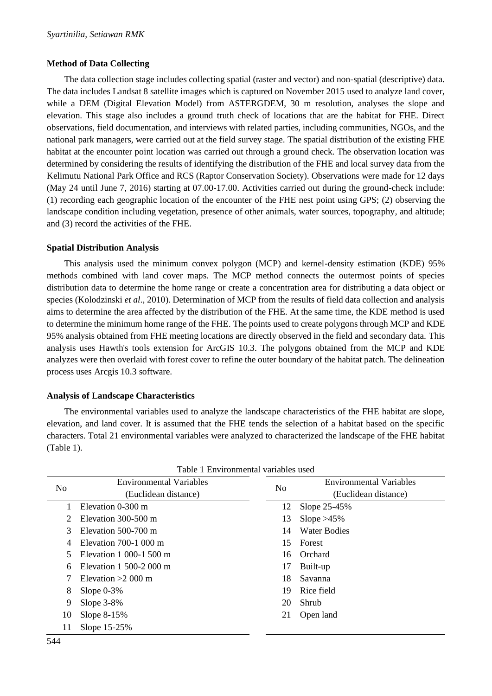# **Method of Data Collecting**

The data collection stage includes collecting spatial (raster and vector) and non-spatial (descriptive) data. The data includes Landsat 8 satellite images which is captured on November 2015 used to analyze land cover, while a DEM (Digital Elevation Model) from ASTERGDEM, 30 m resolution, analyses the slope and elevation. This stage also includes a ground truth check of locations that are the habitat for FHE. Direct observations, field documentation, and interviews with related parties, including communities, NGOs, and the national park managers, were carried out at the field survey stage. The spatial distribution of the existing FHE habitat at the encounter point location was carried out through a ground check. The observation location was determined by considering the results of identifying the distribution of the FHE and local survey data from the Kelimutu National Park Office and RCS (Raptor Conservation Society). Observations were made for 12 days (May 24 until June 7, 2016) starting at 07.00-17.00. Activities carried out during the ground-check include: (1) recording each geographic location of the encounter of the FHE nest point using GPS; (2) observing the landscape condition including vegetation, presence of other animals, water sources, topography, and altitude; and (3) record the activities of the FHE.

# **Spatial Distribution Analysis**

This analysis used the minimum convex polygon (MCP) and kernel-density estimation (KDE) 95% methods combined with land cover maps. The MCP method connects the outermost points of species distribution data to determine the home range or create a concentration area for distributing a data object or species (Kolodzinski *et al*., 2010). Determination of MCP from the results of field data collection and analysis aims to determine the area affected by the distribution of the FHE. At the same time, the KDE method is used to determine the minimum home range of the FHE. The points used to create polygons through MCP and KDE 95% analysis obtained from FHE meeting locations are directly observed in the field and secondary data. This analysis uses Hawth's tools extension for ArcGIS 10.3. The polygons obtained from the MCP and KDE analyzes were then overlaid with forest cover to refine the outer boundary of the habitat patch. The delineation process uses Arcgis 10.3 software.

# **Analysis of Landscape Characteristics**

The environmental variables used to analyze the landscape characteristics of the FHE habitat are slope, elevation, and land cover. It is assumed that the FHE tends the selection of a habitat based on the specific characters. Total 21 environmental variables were analyzed to characterized the landscape of the FHE habitat (Table 1).

| Table 1 Environmental variables used |                                |    |                                |  |  |  |  |  |
|--------------------------------------|--------------------------------|----|--------------------------------|--|--|--|--|--|
| No                                   | <b>Environmental Variables</b> | No | <b>Environmental Variables</b> |  |  |  |  |  |
|                                      | (Euclidean distance)           |    | (Euclidean distance)           |  |  |  |  |  |
| 1                                    | Elevation 0-300 m              | 12 | Slope 25-45%                   |  |  |  |  |  |
| 2                                    | Elevation 300-500 m            | 13 | Slope $>45\%$                  |  |  |  |  |  |
| 3                                    | Elevation 500-700 m            | 14 | <b>Water Bodies</b>            |  |  |  |  |  |
| 4                                    | Elevation $700-100$ m          | 15 | Forest                         |  |  |  |  |  |
| 5                                    | Elevation 1 000-1 500 m        | 16 | Orchard                        |  |  |  |  |  |
| 6                                    | Elevation 1 500-2 000 m        | 17 | Built-up                       |  |  |  |  |  |
| 7                                    | Elevation $>2000$ m            | 18 | Savanna                        |  |  |  |  |  |
| 8                                    | Slope $0-3\%$                  | 19 | Rice field                     |  |  |  |  |  |
| 9                                    | Slope $3-8\%$                  | 20 | Shrub                          |  |  |  |  |  |
| 10                                   | Slope $8-15%$                  | 21 | Open land                      |  |  |  |  |  |
| 11                                   | Slope 15-25%                   |    |                                |  |  |  |  |  |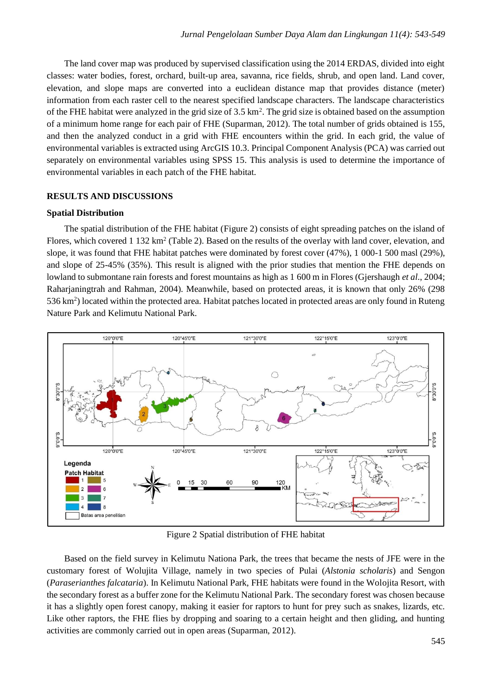The land cover map was produced by supervised classification using the 2014 ERDAS, divided into eight classes: water bodies, forest, orchard, built-up area, savanna, rice fields, shrub, and open land. Land cover, elevation, and slope maps are converted into a euclidean distance map that provides distance (meter) information from each raster cell to the nearest specified landscape characters. The landscape characteristics of the FHE habitat were analyzed in the grid size of 3.5 km<sup>2</sup>. The grid size is obtained based on the assumption of a minimum home range for each pair of FHE (Suparman, 2012). The total number of grids obtained is 155, and then the analyzed conduct in a grid with FHE encounters within the grid. In each grid, the value of environmental variables is extracted using ArcGIS 10.3. Principal Component Analysis (PCA) was carried out separately on environmental variables using SPSS 15. This analysis is used to determine the importance of environmental variables in each patch of the FHE habitat.

### **RESULTS AND DISCUSSIONS**

#### **Spatial Distribution**

The spatial distribution of the FHE habitat (Figure 2) consists of eight spreading patches on the island of Flores, which covered 1 132 km<sup>2</sup> (Table 2). Based on the results of the overlay with land cover, elevation, and slope, it was found that FHE habitat patches were dominated by forest cover (47%), 1 000-1 500 masl (29%), and slope of 25-45% (35%). This result is aligned with the prior studies that mention the FHE depends on lowland to submontane rain forests and forest mountains as high as 1 600 m in Flores (Gjershaugh *et al*., 2004; Raharjaningtrah and Rahman, 2004). Meanwhile, based on protected areas, it is known that only 26% (298 536 km<sup>2</sup>) located within the protected area. Habitat patches located in protected areas are only found in Ruteng Nature Park and Kelimutu National Park.



Figure 2 Spatial distribution of FHE habitat

Based on the field survey in Kelimutu Nationa Park, the trees that became the nests of JFE were in the customary forest of Wolujita Village, namely in two species of Pulai (*Alstonia scholaris*) and Sengon (*Paraserianthes falcataria*). In Kelimutu National Park, FHE habitats were found in the Wolojita Resort, with the secondary forest as a buffer zone for the Kelimutu National Park. The secondary forest was chosen because it has a slightly open forest canopy, making it easier for raptors to hunt for prey such as snakes, lizards, etc. Like other raptors, the FHE flies by dropping and soaring to a certain height and then gliding, and hunting activities are commonly carried out in open areas (Suparman, 2012).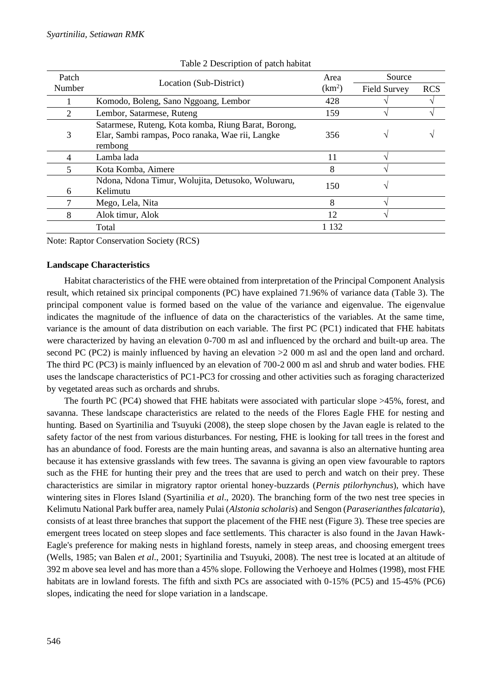| Patch  | Location (Sub-District)                                                                                            | Area               | Source              |            |
|--------|--------------------------------------------------------------------------------------------------------------------|--------------------|---------------------|------------|
| Number |                                                                                                                    | (km <sup>2</sup> ) | <b>Field Survey</b> | <b>RCS</b> |
|        | Komodo, Boleng, Sano Nggoang, Lembor                                                                               | 428                |                     |            |
| 2      | Lembor, Satarmese, Ruteng                                                                                          | 159                |                     |            |
| 3      | Satarmese, Ruteng, Kota komba, Riung Barat, Borong,<br>Elar, Sambi rampas, Poco ranaka, Wae rii, Langke<br>rembong | 356                |                     |            |
| 4      | Lamba lada                                                                                                         | 11                 |                     |            |
| 5      | Kota Komba, Aimere                                                                                                 | 8                  |                     |            |
| 6      | Ndona, Ndona Timur, Wolujita, Detusoko, Woluwaru,<br>Kelimutu                                                      | 150                |                     |            |
|        | Mego, Lela, Nita                                                                                                   | 8                  |                     |            |
| 8      | Alok timur, Alok                                                                                                   | 12                 |                     |            |
|        | Total                                                                                                              | 1 1 3 2            |                     |            |

#### Table 2 Description of patch habitat

Note: Raptor Conservation Society (RCS)

#### **Landscape Characteristics**

Habitat characteristics of the FHE were obtained from interpretation of the Principal Component Analysis result, which retained six principal components (PC) have explained 71.96% of variance data (Table 3). The principal component value is formed based on the value of the variance and eigenvalue. The eigenvalue indicates the magnitude of the influence of data on the characteristics of the variables. At the same time, variance is the amount of data distribution on each variable. The first PC (PC1) indicated that FHE habitats were characterized by having an elevation 0-700 m asl and influenced by the orchard and built-up area. The second PC (PC2) is mainly influenced by having an elevation  $>2000$  m asl and the open land and orchard. The third PC (PC3) is mainly influenced by an elevation of 700-2 000 m asl and shrub and water bodies. FHE uses the landscape characteristics of PC1-PC3 for crossing and other activities such as foraging characterized by vegetated areas such as orchards and shrubs.

The fourth PC (PC4) showed that FHE habitats were associated with particular slope >45%, forest, and savanna. These landscape characteristics are related to the needs of the Flores Eagle FHE for nesting and hunting. Based on Syartinilia and Tsuyuki (2008), the steep slope chosen by the Javan eagle is related to the safety factor of the nest from various disturbances. For nesting, FHE is looking for tall trees in the forest and has an abundance of food. Forests are the main hunting areas, and savanna is also an alternative hunting area because it has extensive grasslands with few trees. The savanna is giving an open view favourable to raptors such as the FHE for hunting their prey and the trees that are used to perch and watch on their prey. These characteristics are similar in migratory raptor oriental honey-buzzards (*Pernis ptilorhynchus*), which have wintering sites in Flores Island (Syartinilia *et al*., 2020). The branching form of the two nest tree species in Kelimutu National Park buffer area, namely Pulai (*Alstonia scholaris*) and Sengon (*Paraserianthes falcataria*), consists of at least three branches that support the placement of the FHE nest (Figure 3). These tree species are emergent trees located on steep slopes and face settlements. This character is also found in the Javan Hawk-Eagle's preference for making nests in highland forests, namely in steep areas, and choosing emergent trees (Wells, 1985; van Balen *et al*., 2001; Syartinilia and Tsuyuki, 2008). The nest tree is located at an altitude of 392 m above sea level and has more than a 45% slope. Following the Verhoeye and Holmes (1998), most FHE habitats are in lowland forests. The fifth and sixth PCs are associated with 0-15% (PC5) and 15-45% (PC6) slopes, indicating the need for slope variation in a landscape.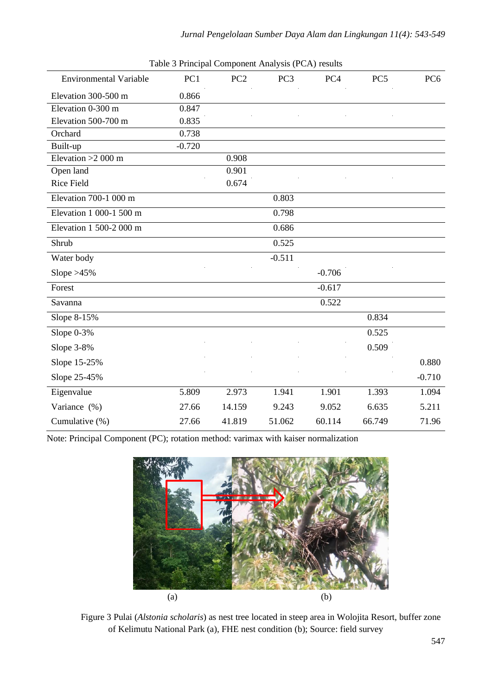| <b>Environmental Variable</b> | PC1      | PC <sub>2</sub> | PC <sub>3</sub> | PC4      | PC <sub>5</sub> | PC <sub>6</sub> |
|-------------------------------|----------|-----------------|-----------------|----------|-----------------|-----------------|
| Elevation 300-500 m           | 0.866    |                 |                 |          |                 |                 |
| Elevation 0-300 m             | 0.847    |                 |                 |          |                 |                 |
| Elevation 500-700 m           | 0.835    |                 |                 |          |                 |                 |
| Orchard                       | 0.738    |                 |                 |          |                 |                 |
| Built-up                      | $-0.720$ |                 |                 |          |                 |                 |
| Elevation $>2000$ m           |          | 0.908           |                 |          |                 |                 |
| Open land                     |          | 0.901           |                 |          |                 |                 |
| <b>Rice Field</b>             |          | 0.674           |                 |          |                 |                 |
| Elevation 700-1 000 m         |          |                 | 0.803           |          |                 |                 |
| Elevation 1 000-1 500 m       |          |                 | 0.798           |          |                 |                 |
| Elevation 1 500-2 000 m       |          |                 | 0.686           |          |                 |                 |
| Shrub                         |          |                 | 0.525           |          |                 |                 |
| Water body                    |          |                 | $-0.511$        |          |                 |                 |
| Slope $>45\%$                 |          |                 |                 | $-0.706$ |                 |                 |
| Forest                        |          |                 |                 | $-0.617$ |                 |                 |
| Savanna                       |          |                 |                 | 0.522    |                 |                 |
| Slope 8-15%                   |          |                 |                 |          | 0.834           |                 |
| Slope $0-3%$                  |          |                 |                 |          | 0.525           |                 |
| Slope 3-8%                    |          |                 |                 |          | 0.509           |                 |
| Slope 15-25%                  |          |                 |                 |          |                 | 0.880           |
| Slope 25-45%                  |          |                 |                 |          |                 | $-0.710$        |
| Eigenvalue                    | 5.809    | 2.973           | 1.941           | 1.901    | 1.393           | 1.094           |
| Variance (%)                  | 27.66    | 14.159          | 9.243           | 9.052    | 6.635           | 5.211           |
| Cumulative (%)                | 27.66    | 41.819          | 51.062          | 60.114   | 66.749          | 71.96           |

Table 3 Principal Component Analysis (PCA) results

Note: Principal Component (PC); rotation method: varimax with kaiser normalization



Figure 3 Pulai (*Alstonia scholaris*) as nest tree located in steep area in Wolojita Resort, buffer zone of Kelimutu National Park (a), FHE nest condition (b); Source: field survey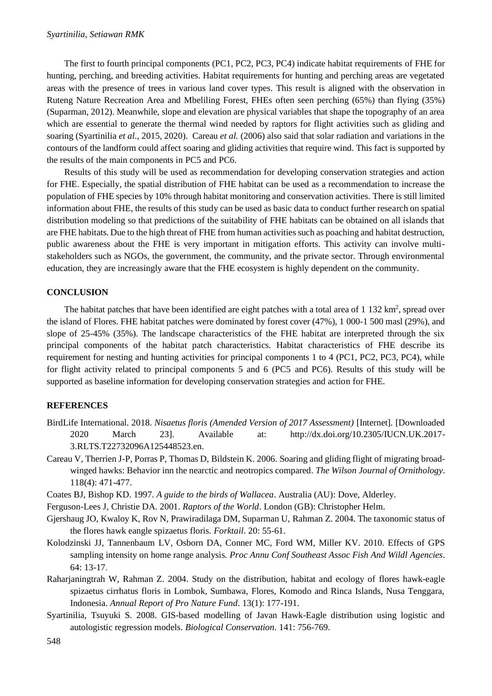The first to fourth principal components (PC1, PC2, PC3, PC4) indicate habitat requirements of FHE for hunting, perching, and breeding activities. Habitat requirements for hunting and perching areas are vegetated areas with the presence of trees in various land cover types. This result is aligned with the observation in Ruteng Nature Recreation Area and Mbeliling Forest, FHEs often seen perching (65%) than flying (35%) (Suparman, 2012). Meanwhile, slope and elevation are physical variables that shape the topography of an area which are essential to generate the thermal wind needed by raptors for flight activities such as gliding and soaring (Syartinilia *et al*., 2015, 2020). Careau *et al.* (2006) also said that solar radiation and variations in the contours of the landform could affect soaring and gliding activities that require wind. This fact is supported by the results of the main components in PC5 and PC6.

Results of this study will be used as recommendation for developing conservation strategies and action for FHE. Especially, the spatial distribution of FHE habitat can be used as a recommendation to increase the population of FHE species by 10% through habitat monitoring and conservation activities. There is still limited information about FHE, the results of this study can be used as basic data to conduct further research on spatial distribution modeling so that predictions of the suitability of FHE habitats can be obtained on all islands that are FHE habitats. Due to the high threat of FHE from human activities such as poaching and habitat destruction, public awareness about the FHE is very important in mitigation efforts. This activity can involve multistakeholders such as NGOs, the government, the community, and the private sector. Through environmental education, they are increasingly aware that the FHE ecosystem is highly dependent on the community.

#### **CONCLUSION**

The habitat patches that have been identified are eight patches with a total area of  $1\,132\,\mathrm{km^2}$ , spread over the island of Flores. FHE habitat patches were dominated by forest cover (47%), 1 000-1 500 masl (29%), and slope of 25-45% (35%). The landscape characteristics of the FHE habitat are interpreted through the six principal components of the habitat patch characteristics. Habitat characteristics of FHE describe its requirement for nesting and hunting activities for principal components 1 to 4 (PC1, PC2, PC3, PC4), while for flight activity related to principal components 5 and 6 (PC5 and PC6). Results of this study will be supported as baseline information for developing conservation strategies and action for FHE.

# **REFERENCES**

- BirdLife International. 2018. *Nisaetus floris (Amended Version of 2017 Assessment)* [Internet]*.* [Downloaded 2020 March 23]. Available at: http://dx.doi.org/10.2305/IUCN.UK.2017- 3.RLTS.T22732096A125448523.en.
- Careau V, Therrien J-P, Porras P, Thomas D, Bildstein K. 2006. Soaring and gliding flight of migrating broadwinged hawks: Behavior inn the nearctic and neotropics compared. *The Wilson Journal of Ornithology*. 118(4): 471-477.
- Coates BJ, Bishop KD. 1997. *A guide to the birds of Wallacea*. Australia (AU): Dove, Alderley.
- Ferguson-Lees J, Christie DA. 2001. *Raptors of the World*. London (GB): Christopher Helm.
- Gjershaug JO, Kwaloy K, Rov N, Prawiradilaga DM, Suparman U, Rahman Z. 2004. The taxonomic status of the flores hawk eangle spizaetus floris*. Forktail*. 20: 55-61.
- Kolodzinski JJ, Tannenbaum LV, Osborn DA, Conner MC, Ford WM, Miller KV. 2010. Effects of GPS sampling intensity on home range analysis*. Proc Annu Conf Southeast Assoc Fish And Wildl Agencies*. 64: 13-17.
- Raharjaningtrah W, Rahman Z. 2004. Study on the distribution, habitat and ecology of flores hawk-eagle spizaetus cirrhatus floris in Lombok, Sumbawa, Flores, Komodo and Rinca Islands, Nusa Tenggara, Indonesia. *Annual Report of Pro Nature Fund*. 13(1): 177-191.
- Syartinilia, Tsuyuki S. 2008. GIS-based modelling of Javan Hawk-Eagle distribution using logistic and autologistic regression models. *Biological Conservation*. 141: 756-769.